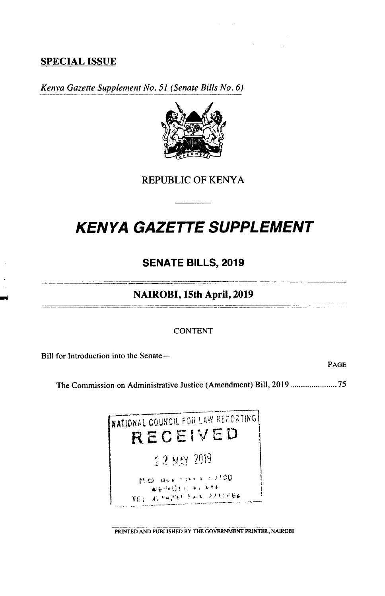# **SPECIAL ISSUE**

*Kenya Gazette Supplement No. 51 (Senate Bills No. 6)* 



**REPUBLIC OF KENYA** 

# **KENYA GAZETTE SUPPLEMENT**

# **SENATE BILLS, 2019**

## **NAIROBI, 15th April, 2019**

#### CONTENT

Bill for Introduction into the Senate-

PAGE

The Commission on Administrative Justice (Amendment) Bill, 2019...................... *75* 

NATIONAL COUNCIL FOR LAW REFORTING RECEIVED •? 2' P.O. Box 1961 - 01100<br>- NAIROEL 41 NYE TEL 31 FAPST FAX 27FIFE6

PRINTED AND PUBLISHED BY THE GOVERNMENT PRINTER, NAJROBI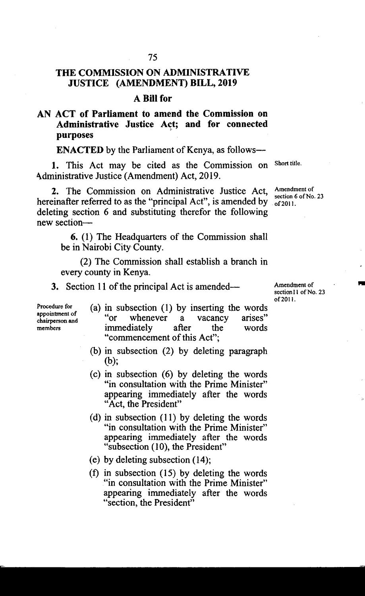# **THE COMMISSION ON ADMINISTRATIVE JUSTICE (AMENDMENT) BILL, 2019**

## **A Bill for**

# **AN ACT of Parliament to amend the Commission on Administrative Justice Act; and for connected purposes**

**ENACTED** by the Parliament of Kenya, as follows-

1. This Act may be cited as the Commission on Shorttitle. Administrative Justice (Amendment) Act, 2019.

2. The Commission on Administrative Justice Act, Amendment of Section 6 of No. 23 hereinafter referred to as the "principal Act", is amended by  $\frac{36000000}{612011}$ . deleting section 6 and substituting therefor the following new section-

6. (1) The Headquarters of the Commission shall be in Nairobi City County.

(2) The Commission shall establish a branch in every county in Kenya.

Section 11 of the principal Act is amended— Amendment of

appointment of<br>chairperson and

Procedure for  $\qquad$  (a) in subsection (1) by inserting the words appointment of " chairperson and " or whenever a vacancy arises" members immediately after the words "commencement of this Act";

- $(b)$  in subsection  $(2)$  by deleting paragraph (b);
- $(c)$  in subsection  $(6)$  by deleting the words "in consultation with the Prime Minister" appearing immediately after the words "Act, the President"
- (d) in subsection  $(11)$  by deleting the words "in consultation with the Prime Minister" appearing immediately after the words "subsection (10), the President"
- by deleting subsection (14);
- in subsection *(15)* by deleting the words "in consultation with the Prime Minister" appearing immediately after the words "section, the President"

section11 of No. 23 of 2011.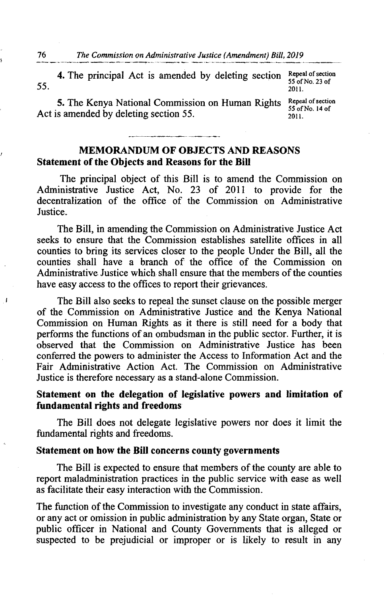The principal Act is amended by deleting section Repeal of section 55 of No. 23 of *55.* 2011.

5. The Kenya National Commission on Human Rights Repeal of section 55 of No. 14 of Act is amended by deleting section 55. **2011** 

# **MEMORANDUM OF OBJECTS AND REASONS Statement of the Objects and Reasons for the Bill**

The principal object of this Bill is to amend the Commission on Administrative Justice Act, No. 23 of 2011 to provide for the decentralization of the office of the Commission on Administrative Justice.

The Bill, in amending the Commission on Administrative Justice Act seeks to ensure that the Commission establishes satellite offices in all counties to bring its services closer to the people Under the Bill, all the counties shall have a branch of the office of the Commission on Administrative Justice which shall ensure that the members of the counties have easy access to the offices to report their grievances.

The Bill also seeks to repeal the sunset clause on the possible merger of the Commission on Administrative Justice and the Kenya National Commission on Human Rights as it there is still need for a body that performs the functions of an ombudsman in the public sector. Further, it is observed that the Commission on Administrative Justice has been conferred the powers to administer the Access to Information Act and the Fair Administrative Action Act. The Commission on Administrative Justice is therefore necessary as a stand-alone Commission.

### **Statement on the delegation of legislative powers and limitation of fundamental rights and freedoms**

The Bill does not delegate legislative powers nor does it limit the fundamental rights and freedoms.

#### **Statement on how the Bill concerns county governments**

The Bill is expected to ensure that members of the county are able to report maladministration practices in the public service with ease as well as facilitate their easy interaction with the Commission.

The function of the Commission to investigate any conduct in state affairs, or any act or omission in public administration by any State organ, State or public officer in National and County Governments that is alleged or suspected to be prejudicial or improper or is likely to result in any

 $\mathbf{I}$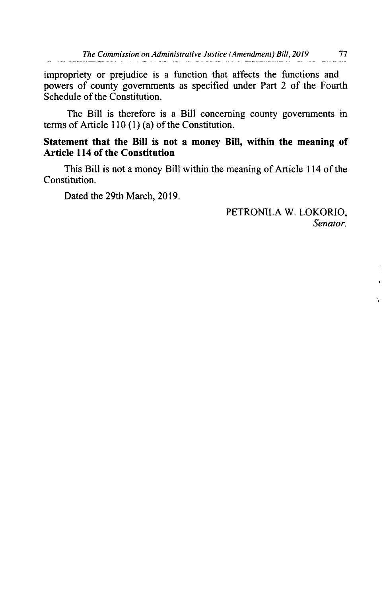impropriety or prejudice is a function that affects the functions and powers of county governments as specified under Part 2 of the Fourth Schedule of the Constitution.

The Bill is therefore is a Bill concerning county governments in terms of Article 110 (1) (a) of the Constitution.

### **Statement that the Bill is not a money Bill, within the meaning of Article 114 of the Constitution**

This Bill is not a money Bill within the meaning of Article 114 of the Constitution.

Dated the 29th March, 2019.

PETROMLA W. LOKORIO, *Senator.* 

 $\mathbf{r}$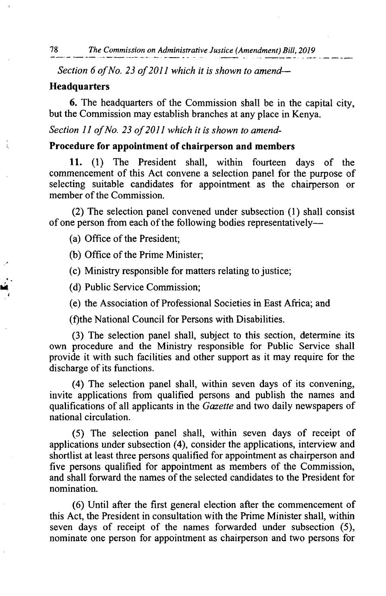Section 6 of No. 23 of 2011 which it is shown to amend-

#### **Headquarters**

**6.** The headquarters of the Commission shall be in the capital city, but the Commission may establish branches at any place in Kenya.

Section 11 of No. 23 of 2011 which it is shown to amend-

#### **Procedure for appointment of chairperson and members**

**11.** (1) The President shall, within fourteen days of the commencement of this Act convene a selection panel for the purpose of selecting suitable candidates for appointment as the chairperson or member of the Commission.

(2) The selection panel convened under subsection (1) shall consist of one person from each of the following bodies representatively-

(a) Office of the President;

(b) Office of the Prime Minister;

(c) Ministry responsible for matters relating to justice;

(d) Public Service Commission;

(e) the Association of Professional Societies in East Africa; and

(f)the National Council for Persons with Disabilities.

(3) The selection panel shall, subject to this section, determine its own procedure and the Ministry responsible for Public Service shall provide it with such facilities and other support as it may require for the discharge of its functions.

(4) The selection panel shall, within seven days of its convening, invite applications from qualified persons and publish the names and qualifications of all applicants in the *Gazette* and two daily newspapers of national circulation.

*(5)* The selection panel shall, within seven days of receipt of applications under subsection (4), consider the applications, interview and shortlist at least three persons qualified for appointment as chairperson and five persons qualified for appointment as members of the Commission, and shall forward the names of the selected candidates to the President for nomination.

(6) Until after the first general election after the commencement of this Act, the President in consultation with the Prime Minister shall, within seven days of receipt of the names forwarded under subsection *(5),*  nominate one person for appointment as chairperson and two persons for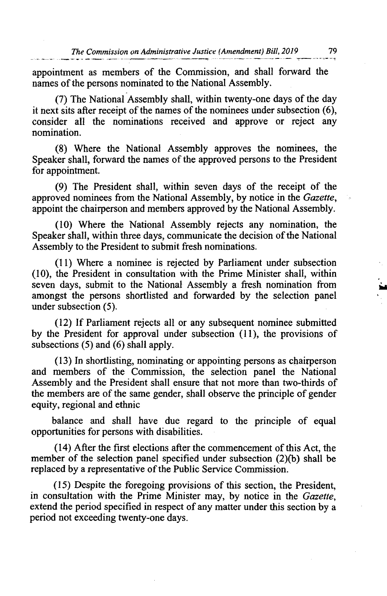appointment as members of the Commission, and shall forward the names of the persons nominated to the National Assembly.

(7) The National Assembly shall, within twenty-one days of the day it next sits after receipt of the names of the nominees under subsection (6), consider all the nominations received and approve or reject any nomination.

Where the National Assembly approves the nominees, the Speaker shall, forward the names of the approved persons to the President for appointment.

(9) The President shall, within seven days of the receipt of the approved nominees from the National Assembly, by notice in the *Gazette,*  appoint the chairperson and members approved by the National Assembly.

Where the National Assembly rejects any nomination, the Speaker shall, within three days, communicate the decision of the National Assembly to the President to submit fresh nominations.

Where a nominee is rejected by Parliament under subsection (10), the President in consultation with the Prime Minister shall, within seven days, submit to the National Assembly a fresh nomination from amongst the persons shortlisted and forwarded by the selection panel under subsection *(5).* 

If Parliament rejects all or any subsequent nominee submitted by the President for approval under subsection (11), the provisions of subsections *(5)* and (6) shall apply.

In shortlisting, nominating or appointing persons as chairperson and members of the Commission, the selection panel the National Assembly and the President shall ensure that not more than two-thirds of the members are of the same gender, shall observe the principle of gender equity, regional and ethnic

balance and shall have due regard to the principle of equal opportunities for persons with disabilities.

After the first elections after the commencement of this Act, the member of the selection panel specified under subsection (2)(b) shall be replaced by a representative of the Public Service Commission.

Despite the foregoing provisions of this section, the President, in consultation with the Prime Minister may, by notice in the *Gazette,*  extend the period specified in respect of any matter under this section by a period not exceeding twenty-one days.